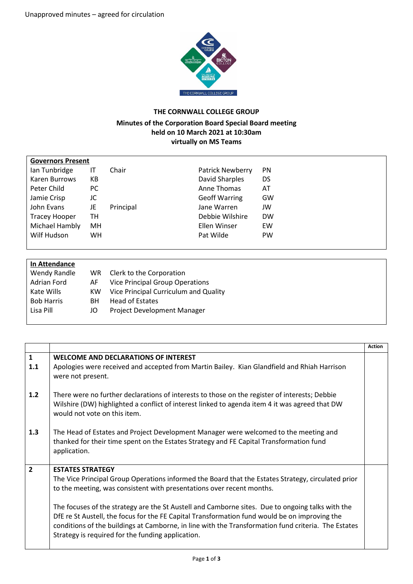

## **THE CORNWALL COLLEGE GROUP**

## **Minutes of the Corporation Board Special Board meeting held on 10 March 2021 at 10:30am virtually on MS Teams**

| <b>Governors Present</b> |     |           |                         |           |
|--------------------------|-----|-----------|-------------------------|-----------|
| Ian Tunbridge            | IT  | Chair     | <b>Patrick Newberry</b> | <b>PN</b> |
| Karen Burrows            | КB  |           | David Sharples          | DS        |
| Peter Child              | РC  |           | Anne Thomas             | AT        |
| Jamie Crisp              | JC  |           | <b>Geoff Warring</b>    | GW        |
| John Evans               | JE  | Principal | Jane Warren             | JW        |
| <b>Tracey Hooper</b>     | TН  |           | Debbie Wilshire         | <b>DW</b> |
| Michael Hambly           | MН  |           | Ellen Winser            | EW        |
| Wilf Hudson              | WH. |           | Pat Wilde               | <b>PW</b> |
|                          |     |           |                         |           |

| In Attendance     |     |                                        |
|-------------------|-----|----------------------------------------|
| Wendy Randle      | WR. | Clerk to the Corporation               |
| Adrian Ford       | AF  | <b>Vice Principal Group Operations</b> |
| Kate Wills        | KW. | Vice Principal Curriculum and Quality  |
| <b>Bob Harris</b> | BН  | Head of Estates                        |
| Lisa Pill         | JO  | Project Development Manager            |
|                   |     |                                        |

|                |                                                                                                                                                                                                                                                           | <b>Action</b> |
|----------------|-----------------------------------------------------------------------------------------------------------------------------------------------------------------------------------------------------------------------------------------------------------|---------------|
| $\mathbf{1}$   | <b>WELCOME AND DECLARATIONS OF INTEREST</b>                                                                                                                                                                                                               |               |
| 1.1            | Apologies were received and accepted from Martin Bailey. Kian Glandfield and Rhiah Harrison<br>were not present.                                                                                                                                          |               |
| $1.2$          | There were no further declarations of interests to those on the register of interests; Debbie<br>Wilshire (DW) highlighted a conflict of interest linked to agenda item 4 it was agreed that DW<br>would not vote on this item.                           |               |
| 1.3            | The Head of Estates and Project Development Manager were welcomed to the meeting and<br>thanked for their time spent on the Estates Strategy and FE Capital Transformation fund<br>application.                                                           |               |
| $\overline{2}$ | <b>ESTATES STRATEGY</b>                                                                                                                                                                                                                                   |               |
|                | The Vice Principal Group Operations informed the Board that the Estates Strategy, circulated prior<br>to the meeting, was consistent with presentations over recent months.                                                                               |               |
|                | The focuses of the strategy are the St Austell and Camborne sites. Due to ongoing talks with the                                                                                                                                                          |               |
|                | DfE re St Austell, the focus for the FE Capital Transformation fund would be on improving the<br>conditions of the buildings at Camborne, in line with the Transformation fund criteria. The Estates<br>Strategy is required for the funding application. |               |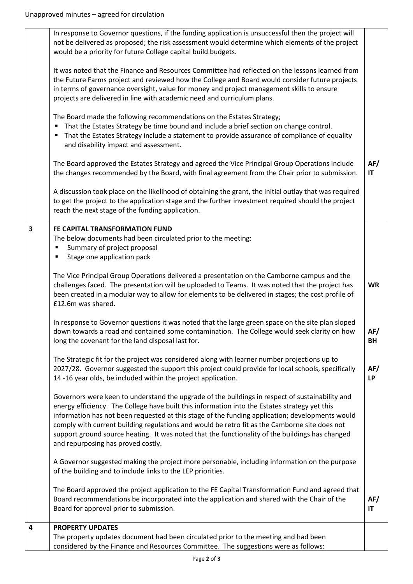|                         | In response to Governor questions, if the funding application is unsuccessful then the project will<br>not be delivered as proposed; the risk assessment would determine which elements of the project<br>would be a priority for future College capital build budgets.                                                                                                                                                                                                                                                                       |                  |
|-------------------------|-----------------------------------------------------------------------------------------------------------------------------------------------------------------------------------------------------------------------------------------------------------------------------------------------------------------------------------------------------------------------------------------------------------------------------------------------------------------------------------------------------------------------------------------------|------------------|
|                         | It was noted that the Finance and Resources Committee had reflected on the lessons learned from<br>the Future Farms project and reviewed how the College and Board would consider future projects<br>in terms of governance oversight, value for money and project management skills to ensure<br>projects are delivered in line with academic need and curriculum plans.                                                                                                                                                                     |                  |
|                         | The Board made the following recommendations on the Estates Strategy;<br>That the Estates Strategy be time bound and include a brief section on change control.<br>٠<br>" That the Estates Strategy include a statement to provide assurance of compliance of equality<br>and disability impact and assessment.                                                                                                                                                                                                                               |                  |
|                         | The Board approved the Estates Strategy and agreed the Vice Principal Group Operations include<br>the changes recommended by the Board, with final agreement from the Chair prior to submission.                                                                                                                                                                                                                                                                                                                                              | AF/<br>IT        |
|                         | A discussion took place on the likelihood of obtaining the grant, the initial outlay that was required<br>to get the project to the application stage and the further investment required should the project<br>reach the next stage of the funding application.                                                                                                                                                                                                                                                                              |                  |
| $\overline{\mathbf{3}}$ | FE CAPITAL TRANSFORMATION FUND<br>The below documents had been circulated prior to the meeting:<br>Summary of project proposal<br>٠<br>Stage one application pack<br>п                                                                                                                                                                                                                                                                                                                                                                        |                  |
|                         | The Vice Principal Group Operations delivered a presentation on the Camborne campus and the<br>challenges faced. The presentation will be uploaded to Teams. It was noted that the project has<br>been created in a modular way to allow for elements to be delivered in stages; the cost profile of<br>£12.6m was shared.                                                                                                                                                                                                                    | <b>WR</b>        |
|                         | In response to Governor questions it was noted that the large green space on the site plan sloped<br>down towards a road and contained some contamination. The College would seek clarity on how<br>long the covenant for the land disposal last for.                                                                                                                                                                                                                                                                                         | AF/<br><b>BH</b> |
|                         | The Strategic fit for the project was considered along with learner number projections up to<br>2027/28. Governor suggested the support this project could provide for local schools, specifically<br>14 -16 year olds, be included within the project application.                                                                                                                                                                                                                                                                           | AF/<br><b>LP</b> |
|                         | Governors were keen to understand the upgrade of the buildings in respect of sustainability and<br>energy efficiency. The College have built this information into the Estates strategy yet this<br>information has not been requested at this stage of the funding application; developments would<br>comply with current building regulations and would be retro fit as the Camborne site does not<br>support ground source heating. It was noted that the functionality of the buildings has changed<br>and repurposing has proved costly. |                  |
|                         | A Governor suggested making the project more personable, including information on the purpose<br>of the building and to include links to the LEP priorities.                                                                                                                                                                                                                                                                                                                                                                                  |                  |
|                         | The Board approved the project application to the FE Capital Transformation Fund and agreed that<br>Board recommendations be incorporated into the application and shared with the Chair of the<br>Board for approval prior to submission.                                                                                                                                                                                                                                                                                                    | AF/<br>IT        |
| 4                       | <b>PROPERTY UPDATES</b><br>The property updates document had been circulated prior to the meeting and had been                                                                                                                                                                                                                                                                                                                                                                                                                                |                  |
|                         | considered by the Finance and Resources Committee. The suggestions were as follows:                                                                                                                                                                                                                                                                                                                                                                                                                                                           |                  |